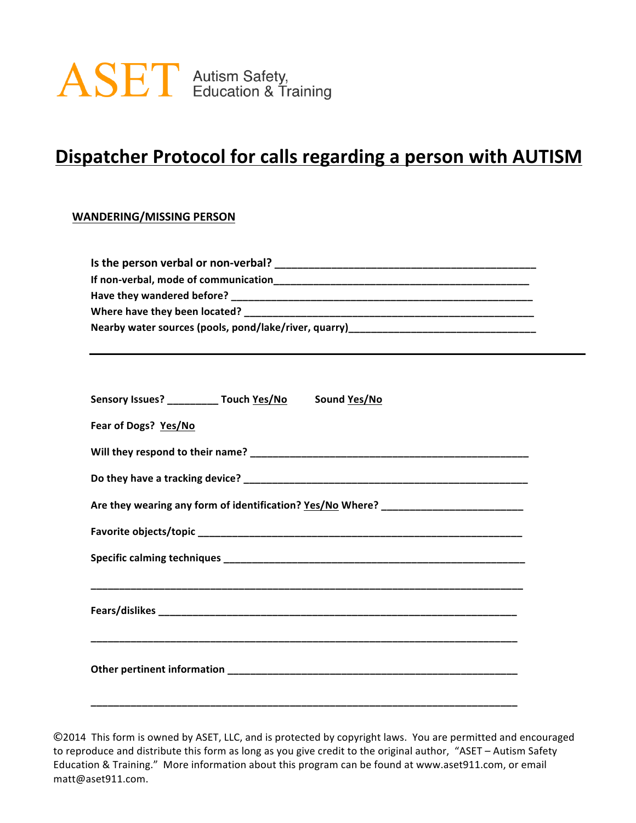

# **Dispatcher Protocol for calls regarding a person with AUTISM**

#### **WANDERING/MISSING PERSON**

| Nearby water sources (pools, pond/lake/river, quarry)___________________________ |  |
|----------------------------------------------------------------------------------|--|
|                                                                                  |  |
|                                                                                  |  |

|  | Sensory Issues? __________ Touch Yes/No Sound Yes/No<br>Are they wearing any form of identification? Yes/No Where? _____________________ |
|--|------------------------------------------------------------------------------------------------------------------------------------------|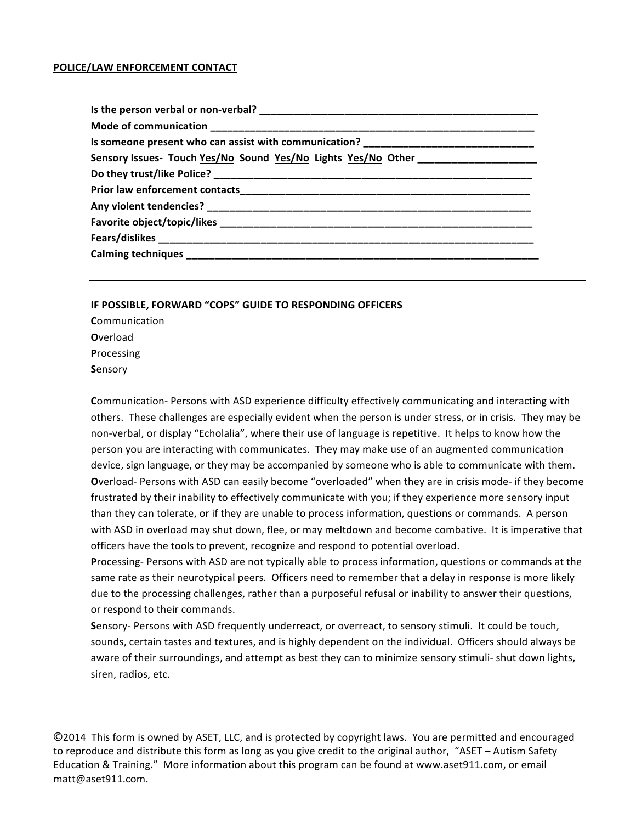#### **POLICE/LAW ENFORCEMENT CONTACT**

| Is someone present who can assist with communication? ___________________________ |
|-----------------------------------------------------------------------------------|
| Sensory Issues- Touch Yes/No Sound Yes/No Lights Yes/No Other __________________  |
|                                                                                   |
|                                                                                   |
|                                                                                   |
|                                                                                   |
|                                                                                   |
|                                                                                   |
|                                                                                   |

#### **IF POSSIBLE, FORWARD "COPS" GUIDE TO RESPONDING OFFICERS**

**C**ommunication **O**verload **P**rocessing **S**ensory

**Communication- Persons with ASD experience difficulty effectively communicating and interacting with** others. These challenges are especially evident when the person is under stress, or in crisis. They may be non-verbal, or display "Echolalia", where their use of language is repetitive. It helps to know how the person you are interacting with communicates. They may make use of an augmented communication device, sign language, or they may be accompanied by someone who is able to communicate with them. **O**verload- Persons with ASD can easily become "overloaded" when they are in crisis mode- if they become frustrated by their inability to effectively communicate with you; if they experience more sensory input than they can tolerate, or if they are unable to process information, questions or commands. A person with ASD in overload may shut down, flee, or may meltdown and become combative. It is imperative that officers have the tools to prevent, recognize and respond to potential overload.

**Processing-** Persons with ASD are not typically able to process information, questions or commands at the same rate as their neurotypical peers. Officers need to remember that a delay in response is more likely due to the processing challenges, rather than a purposeful refusal or inability to answer their questions, or respond to their commands.

Sensory- Persons with ASD frequently underreact, or overreact, to sensory stimuli. It could be touch, sounds, certain tastes and textures, and is highly dependent on the individual. Officers should always be aware of their surroundings, and attempt as best they can to minimize sensory stimuli- shut down lights, siren, radios, etc.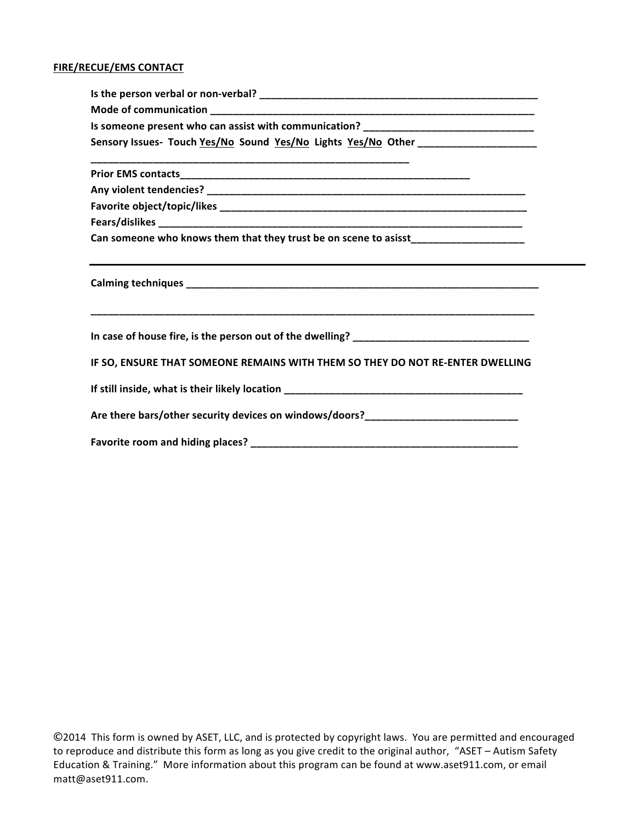#### **FIRE/RECUE/EMS CONTACT**

| Is someone present who can assist with communication? ___________________________                                    |
|----------------------------------------------------------------------------------------------------------------------|
| Sensory Issues- Touch Yes/No Sound Yes/No Lights Yes/No Other __________________                                     |
| <u> 1989 - Jan James James James James James James James James James James James James James James James James J</u> |
|                                                                                                                      |
|                                                                                                                      |
|                                                                                                                      |
| Can someone who knows them that they trust be on scene to asisst_________________                                    |
| ,我们也不会有什么。""我们的人,我们也不会有什么?""我们的人,我们也不会有什么?""我们的人,我们也不会有什么?""我们的人,我们也不会有什么?""我们的人                                     |
|                                                                                                                      |
| IF SO, ENSURE THAT SOMEONE REMAINS WITH THEM SO THEY DO NOT RE-ENTER DWELLING                                        |
|                                                                                                                      |
| Are there bars/other security devices on windows/doors?_________________________                                     |
|                                                                                                                      |